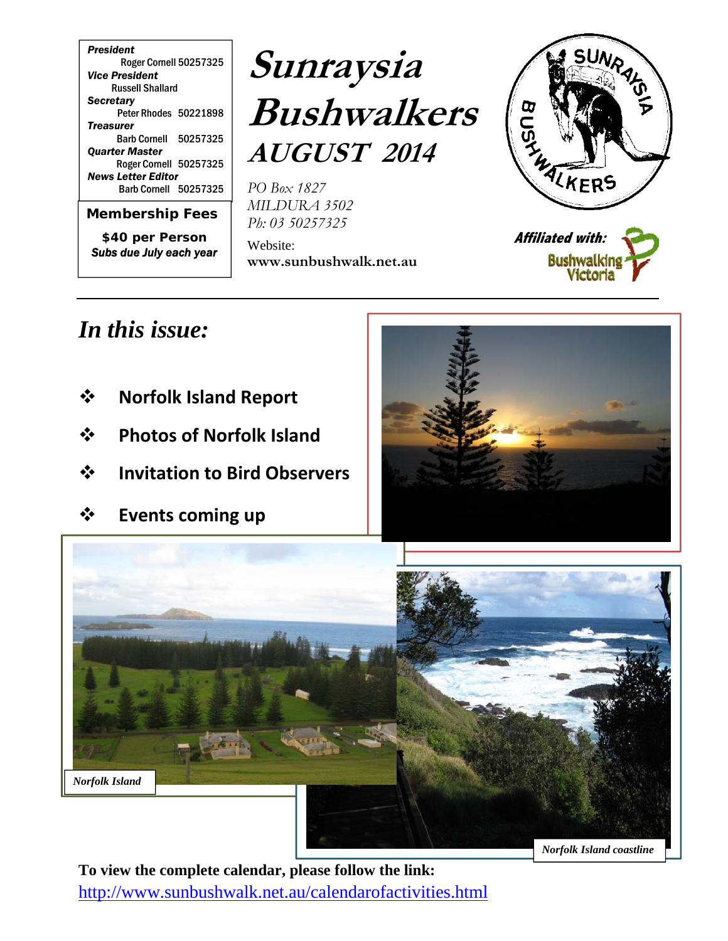*President* Roger Cornell 50257325 *Vice President*  Russell Shallard *Secretary*  Peter Rhodes 50221898 *Treasurer*  Barb Cornell 50257325 *Quarter Master*  Roger Cornell 50257325 *News Letter Editor*  Barb Cornell 50257325

*Membership Fees* 

*\$40 per Person Subs due July each year*

## **Sunraysia Bushwalkers AUGUST 2014**

*PO Box 1827 MILDURA 3502 Ph: 03 50257325*

Website: **www.sunbushwalk.net.au** 



**Victoria** 



- **Norfolk Island Report**
- **Photos of Norfolk Island**
- **Invitation to Bird Observers**
- **Events coming up**





**To view the complete calendar, please follow the link:**  http://www.sunbushwalk.net.au/calendarofactivities.html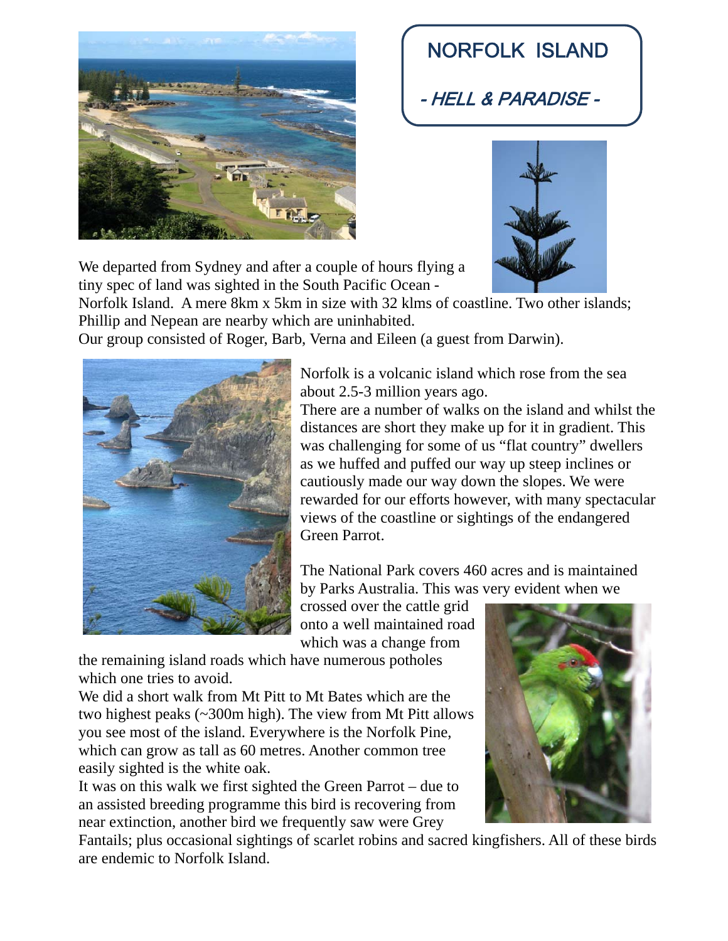



- HELL & PARADISE -



We departed from Sydney and after a couple of hours flying a tiny spec of land was sighted in the South Pacific Ocean -

Norfolk Island. A mere 8km x 5km in size with 32 klms of coastline. Two other islands; Phillip and Nepean are nearby which are uninhabited.

Our group consisted of Roger, Barb, Verna and Eileen (a guest from Darwin).



Norfolk is a volcanic island which rose from the sea about 2.5-3 million years ago.

There are a number of walks on the island and whilst the distances are short they make up for it in gradient. This was challenging for some of us "flat country" dwellers as we huffed and puffed our way up steep inclines or cautiously made our way down the slopes. We were rewarded for our efforts however, with many spectacular views of the coastline or sightings of the endangered Green Parrot.

The National Park covers 460 acres and is maintained by Parks Australia. This was very evident when we

crossed over the cattle grid onto a well maintained road which was a change from

the remaining island roads which have numerous potholes which one tries to avoid.

We did a short walk from Mt Pitt to Mt Bates which are the two highest peaks (~300m high). The view from Mt Pitt allows you see most of the island. Everywhere is the Norfolk Pine, which can grow as tall as 60 metres. Another common tree easily sighted is the white oak.

It was on this walk we first sighted the Green Parrot – due to an assisted breeding programme this bird is recovering from near extinction, another bird we frequently saw were Grey



Fantails; plus occasional sightings of scarlet robins and sacred kingfishers. All of these birds are endemic to Norfolk Island.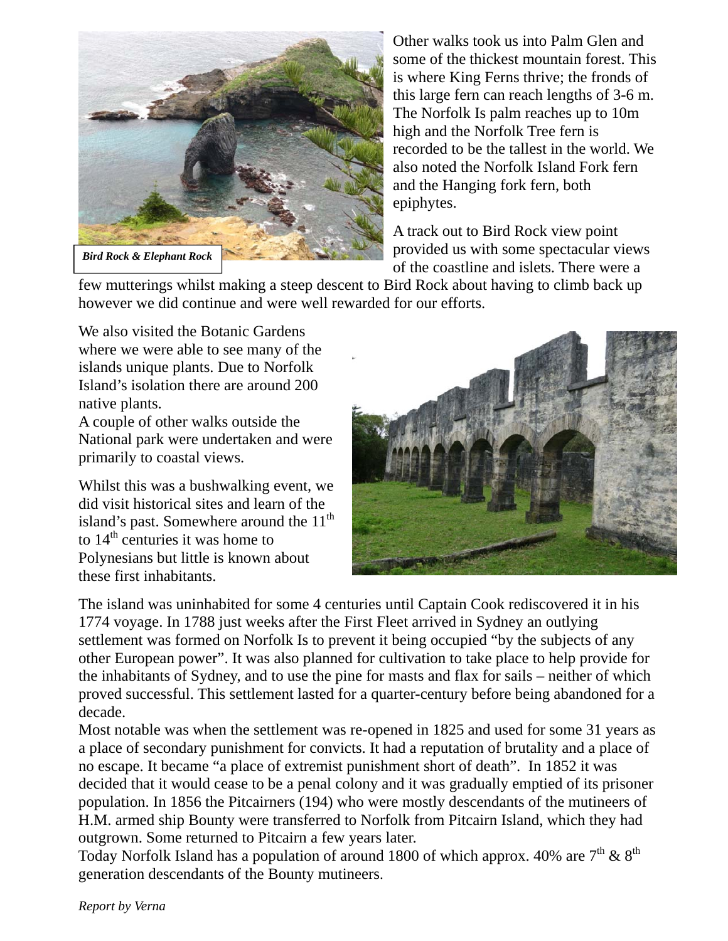

Other walks took us into Palm Glen and some of the thickest mountain forest. This is where King Ferns thrive; the fronds of this large fern can reach lengths of 3-6 m. The Norfolk Is palm reaches up to 10m high and the Norfolk Tree fern is recorded to be the tallest in the world. We also noted the Norfolk Island Fork fern and the Hanging fork fern, both epiphytes.

A track out to Bird Rock view point provided us with some spectacular views of the coastline and islets. There were a

few mutterings whilst making a steep descent to Bird Rock about having to climb back up however we did continue and were well rewarded for our efforts.

We also visited the Botanic Gardens where we were able to see many of the islands unique plants. Due to Norfolk Island's isolation there are around 200 native plants.

A couple of other walks outside the National park were undertaken and were primarily to coastal views.

Whilst this was a bushwalking event, we did visit historical sites and learn of the island's past. Somewhere around the  $11<sup>th</sup>$ to  $14<sup>th</sup>$  centuries it was home to Polynesians but little is known about these first inhabitants.



The island was uninhabited for some 4 centuries until Captain Cook rediscovered it in his 1774 voyage. In 1788 just weeks after the First Fleet arrived in Sydney an outlying settlement was formed on Norfolk Is to prevent it being occupied "by the subjects of any other European power". It was also planned for cultivation to take place to help provide for the inhabitants of Sydney, and to use the pine for masts and flax for sails – neither of which proved successful. This settlement lasted for a quarter-century before being abandoned for a decade.

Most notable was when the settlement was re-opened in 1825 and used for some 31 years as a place of secondary punishment for convicts. It had a reputation of brutality and a place of no escape. It became "a place of extremist punishment short of death". In 1852 it was decided that it would cease to be a penal colony and it was gradually emptied of its prisoner population. In 1856 the Pitcairners (194) who were mostly descendants of the mutineers of H.M. armed ship Bounty were transferred to Norfolk from Pitcairn Island, which they had outgrown. Some returned to Pitcairn a few years later.

Today Norfolk Island has a population of around 1800 of which approx. 40% are  $7<sup>th</sup>$  &  $8<sup>th</sup>$ generation descendants of the Bounty mutineers.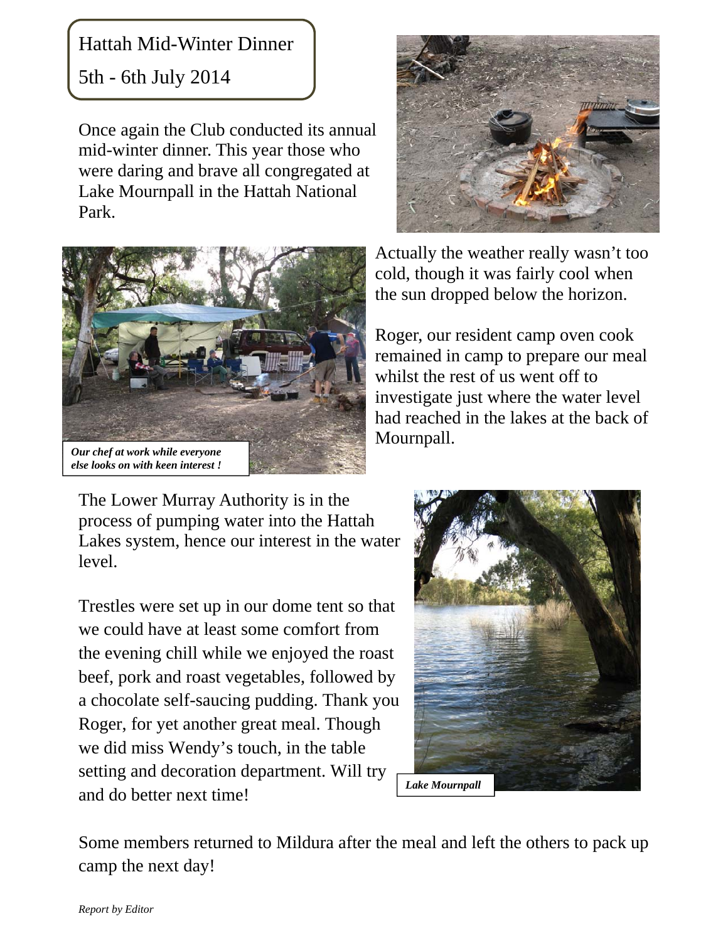## Hattah Mid-Winter Dinner

5th - 6th July 2014

Once again the Club conducted its annual mid-winter dinner. This year those who were daring and brave all congregated at Lake Mournpall in the Hattah National Park.



*else looks on with keen interest !* 

The Lower Murray Authority is in the process of pumping water into the Hattah Lakes system, hence our interest in the water level.

Trestles were set up in our dome tent so that we could have at least some comfort from the evening chill while we enjoyed the roast beef, pork and roast vegetables, followed by a chocolate self-saucing pudding. Thank you Roger, for yet another great meal. Though we did miss Wendy's touch, in the table setting and decoration department. Will try and do better next time!



Actually the weather really wasn't too cold, though it was fairly cool when the sun dropped below the horizon.

Roger, our resident camp oven cook remained in camp to prepare our meal whilst the rest of us went off to investigate just where the water level had reached in the lakes at the back of Mournpall.



Some members returned to Mildura after the meal and left the others to pack up camp the next day!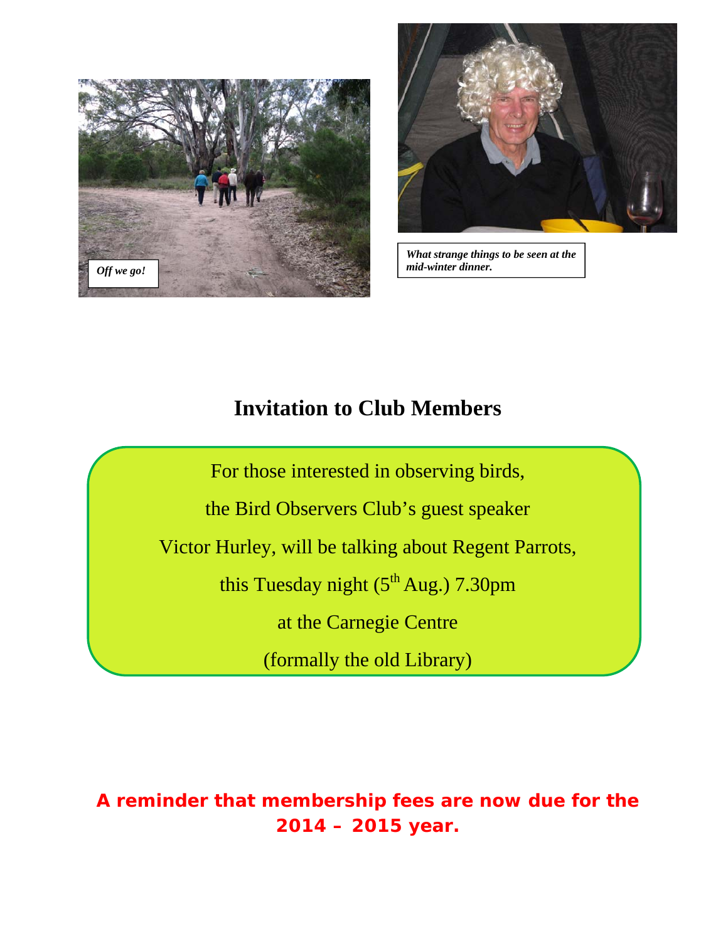



*What strange things to be seen at the mid-winter dinner.* 

## **Invitation to Club Members**

For those interested in observing birds, the Bird Observers Club's guest speaker Victor Hurley, will be talking about Regent Parrots, this Tuesday night  $(5<sup>th</sup> Aug.)$  7.30pm at the Carnegie Centre (formally the old Library)

**A reminder that membership fees are now due for the 2014 – 2015 year.**